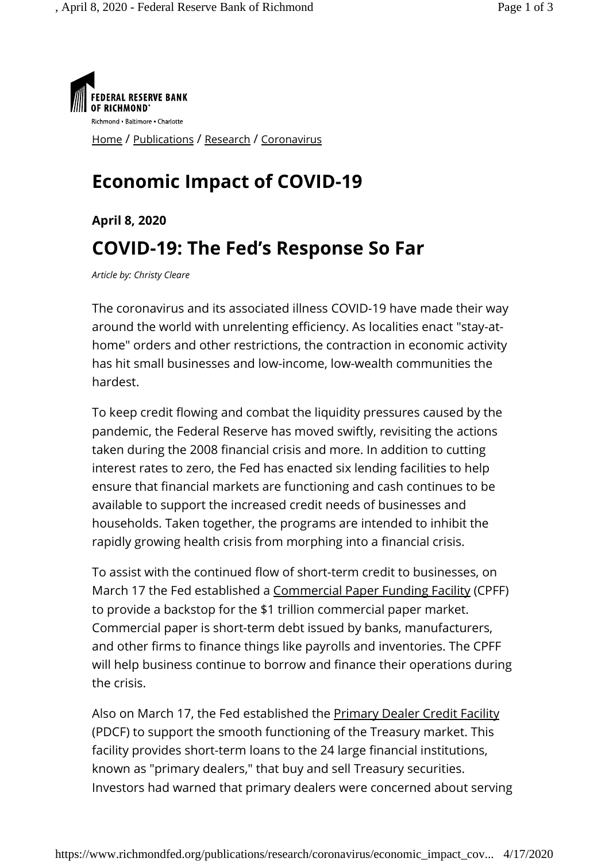

## **Economic Impact of COVID-19**

## **April 8, 2020 COVID-19: The Fed's Response So Far**

*Article by: Christy Cleare*

The coronavirus and its associated illness COVID-19 have made their way around the world with unrelenting efficiency. As localities enact "stay-athome" orders and other restrictions, the contraction in economic activity has hit small businesses and low-income, low-wealth communities the hardest.

To keep credit flowing and combat the liquidity pressures caused by the pandemic, the Federal Reserve has moved swiftly, revisiting the actions taken during the 2008 financial crisis and more. In addition to cutting interest rates to zero, the Fed has enacted six lending facilities to help ensure that financial markets are functioning and cash continues to be available to support the increased credit needs of businesses and households. Taken together, the programs are intended to inhibit the rapidly growing health crisis from morphing into a financial crisis.

To assist with the continued flow of short-term credit to businesses, on March 17 the Fed established a Commercial Paper Funding Facility (CPFF) to provide a backstop for the \$1 trillion commercial paper market. Commercial paper is short-term debt issued by banks, manufacturers, and other firms to finance things like payrolls and inventories. The CPFF will help business continue to borrow and finance their operations during the crisis.

Also on March 17, the Fed established the **Primary Dealer Credit Facility** (PDCF) to support the smooth functioning of the Treasury market. This facility provides short-term loans to the 24 large financial institutions, known as "primary dealers," that buy and sell Treasury securities. Investors had warned that primary dealers were concerned about serving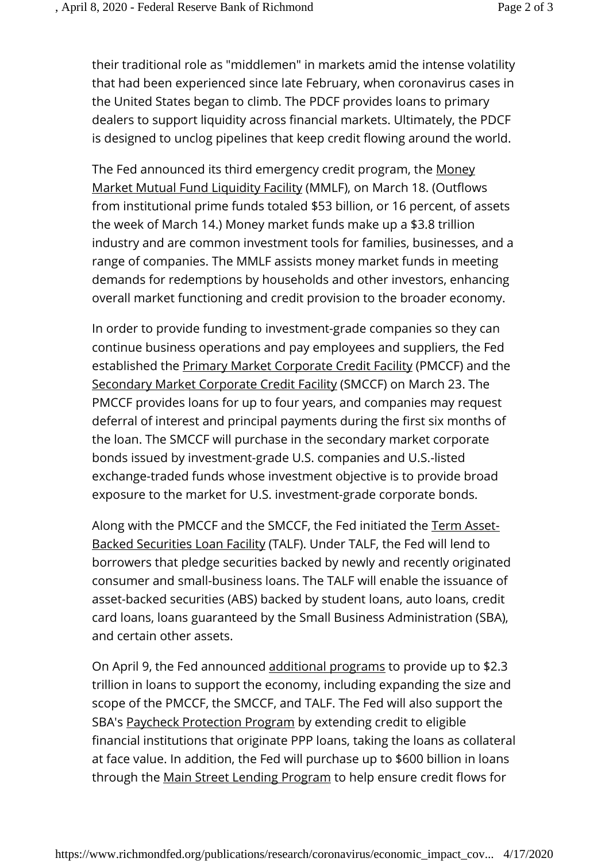their traditional role as "middlemen" in markets amid the intense volatility that had been experienced since late February, when coronavirus cases in the United States began to climb. The PDCF provides loans to primary dealers to support liquidity across financial markets. Ultimately, the PDCF is designed to unclog pipelines that keep credit flowing around the world.

The Fed announced its third emergency credit program, the Money Market Mutual Fund Liquidity Facility (MMLF), on March 18. (Outflows from institutional prime funds totaled \$53 billion, or 16 percent, of assets the week of March 14.) Money market funds make up a \$3.8 trillion industry and are common investment tools for families, businesses, and a range of companies. The MMLF assists money market funds in meeting demands for redemptions by households and other investors, enhancing overall market functioning and credit provision to the broader economy.

In order to provide funding to investment-grade companies so they can continue business operations and pay employees and suppliers, the Fed established the Primary Market Corporate Credit Facility (PMCCF) and the Secondary Market Corporate Credit Facility (SMCCF) on March 23. The PMCCF provides loans for up to four years, and companies may request deferral of interest and principal payments during the first six months of the loan. The SMCCF will purchase in the secondary market corporate bonds issued by investment-grade U.S. companies and U.S.-listed exchange-traded funds whose investment objective is to provide broad exposure to the market for U.S. investment-grade corporate bonds.

Along with the PMCCF and the SMCCF, the Fed initiated the Term Asset-Backed Securities Loan Facility (TALF). Under TALF, the Fed will lend to borrowers that pledge securities backed by newly and recently originated consumer and small-business loans. The TALF will enable the issuance of asset-backed securities (ABS) backed by student loans, auto loans, credit card loans, loans guaranteed by the Small Business Administration (SBA), and certain other assets.

On April 9, the Fed announced additional programs to provide up to \$2.3 trillion in loans to support the economy, including expanding the size and scope of the PMCCF, the SMCCF, and TALF. The Fed will also support the SBA's Paycheck Protection Program by extending credit to eligible financial institutions that originate PPP loans, taking the loans as collateral at face value. In addition, the Fed will purchase up to \$600 billion in loans through the Main Street Lending Program to help ensure credit flows for